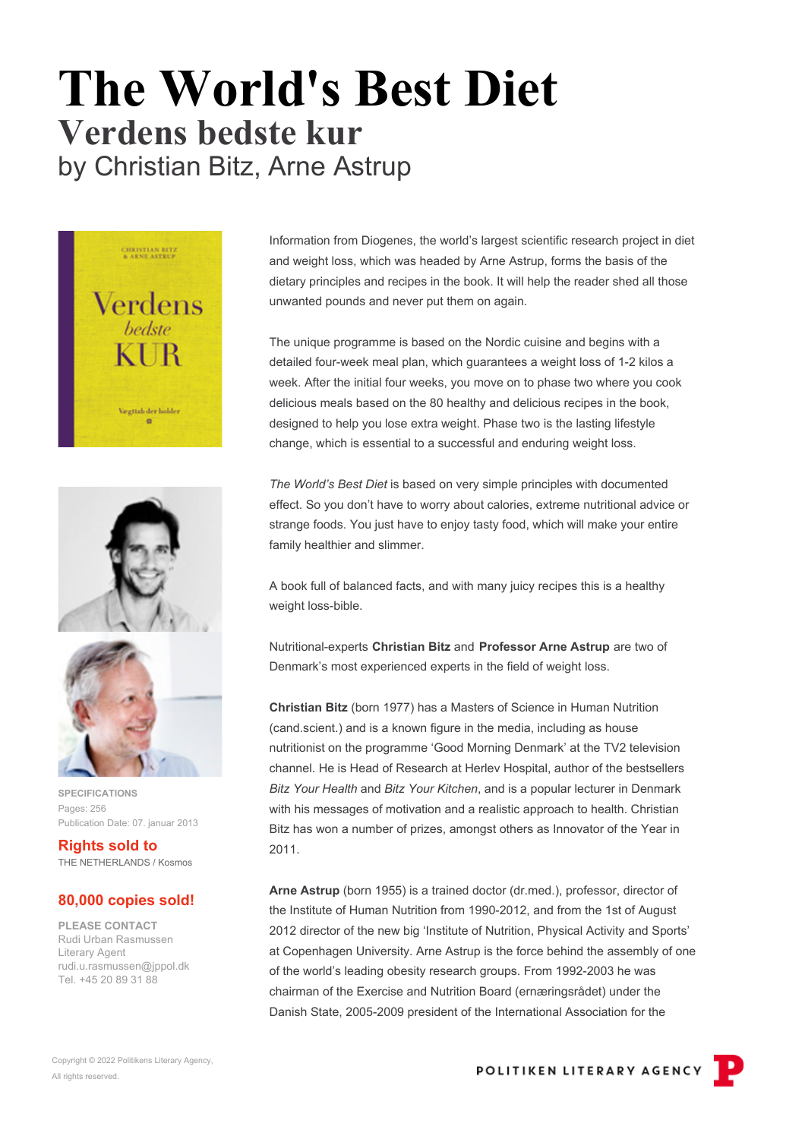## **The World's Best Diet Verdens bedste kur** by Christian Bitz, Arne Astrup







**SPECIFICATIONS** Pages: 256 Publication Date: 07. januar 2013

**Rights sold to** THE NETHERLANDS / Kosmos

## **80,000 copies sold!**

**PLEASE CONTACT** Rudi Urban Rasmussen Literary Agent rudi.u.rasmussen@jppol.dk Tel. +45 20 89 31 88

Information from Diogenes, the world's largest scientific research project in diet and weight loss, which was headed by Arne Astrup, forms the basis of the dietary principles and recipes in the book. It will help the reader shed all those unwanted pounds and never put them on again.

The unique programme is based on the Nordic cuisine and begins with a detailed four-week meal plan, which guarantees a weight loss of 1-2 kilos a week. After the initial four weeks, you move on to phase two where you cook delicious meals based on the 80 healthy and delicious recipes in the book, designed to help you lose extra weight. Phase two is the lasting lifestyle change, which is essential to a successful and enduring weight loss.

*The World's Best Diet* is based on very simple principles with documented effect. So you don't have to worry about calories, extreme nutritional advice or strange foods. You just have to enjoy tasty food, which will make your entire family healthier and slimmer.

A book full of balanced facts, and with many juicy recipes this is a healthy weight loss-bible.

Nutritional-experts **Christian Bitz** and **Professor Arne Astrup** are two of Denmark's most experienced experts in the field of weight loss.

**Christian Bitz** (born 1977) has a Masters of Science in Human Nutrition (cand.scient.) and is a known figure in the media, including as house nutritionist on the programme 'Good Morning Denmark' at the TV2 television channel. He is Head of Research at Herlev Hospital, author of the bestsellers *Bitz Your Health* and *Bitz Your Kitchen*, and is a popular lecturer in Denmark with his messages of motivation and a realistic approach to health. Christian Bitz has won a number of prizes, amongst others as Innovator of the Year in 2011.

**Arne Astrup** (born 1955) is a trained doctor (dr.med.), professor, director of the Institute of Human Nutrition from 1990-2012, and from the 1st of August 2012 director of the new big 'Institute of Nutrition, Physical Activity and Sports' at Copenhagen University. Arne Astrup is the force behind the assembly of one of the world's leading obesity research groups. From 1992-2003 he was chairman of the Exercise and Nutrition Board (ernæringsrådet) under the Danish State, 2005-2009 president of the International Association for the

POLITIKEN LITERARY AGENCY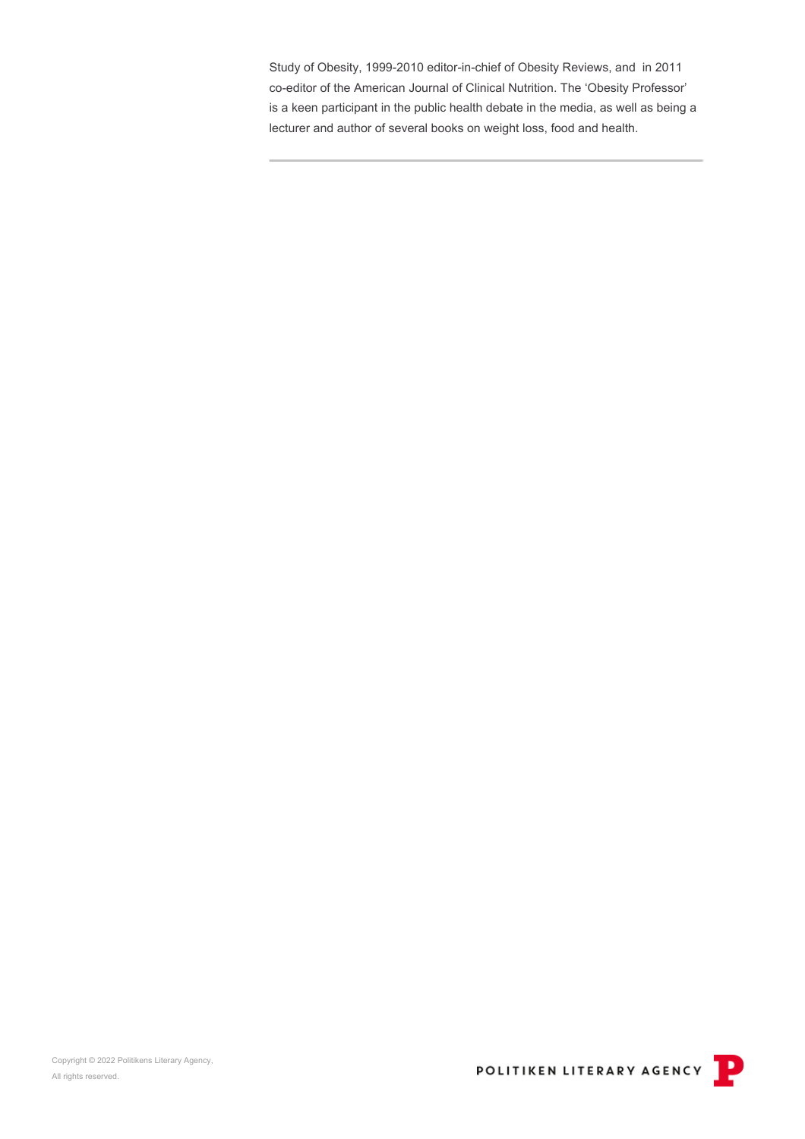Study of Obesity, 1999-2010 editor-in-chief of Obesity Reviews, and in 2011 co-editor of the American Journal of Clinical Nutrition. The 'Obesity Professor' is a keen participant in the public health debate in the media, as well as being a lecturer and author of several books on weight loss, food and health.